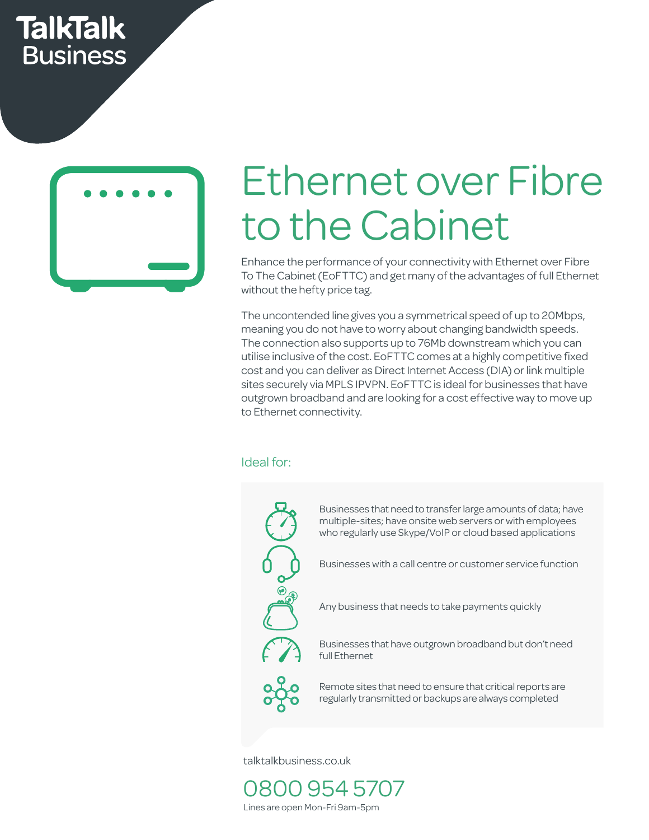## **TalkTalk Business**



# Ethernet over Fibre to the Cabinet

Enhance the performance of your connectivity with Ethernet over Fibre To The Cabinet (EoFTTC) and get many of the advantages of full Ethernet without the hefty price tag.

The uncontended line gives you a symmetrical speed of up to 20Mbps, meaning you do not have to worry about changing bandwidth speeds. The connection also supports up to 76Mb downstream which you can utilise inclusive of the cost. EoFTTC comes at a highly competitive fixed utilise inclusive of the cost. Eor TTC comes at a highly competitive fixed<br>cost and you can deliver as Direct Internet Access (DIA) or link multiple<br>sites see ush wis MPLS ID VPM EsETTC is ideal far businesses that be va sites securely via MPLS IPVPN. EoFTTC is ideal for businesses that have outgrown broadband and are looking for a cost effective way to move up to Ethernet connectivity.

#### Ideal for:



Businesses that need to transfer large amounts of data; have multiple-sites; have onsite web servers or with employees who regularly use Skype/VoIP or cloud based applications

esses wit rvice Businesses with a call centre or customer service function

4 Any business that needs to take payments quickly

**2008** Businesses that have outgrown broadband but don't need full Fibernet  $\begin{bmatrix} 1 & 1 \\ 1 & 1 \end{bmatrix}$  full Ethernet bandwidth

**20** Remote sites that need to ensure that critical reports are regularly transmitted or backups are always completed

talktalkbusiness.co.uk